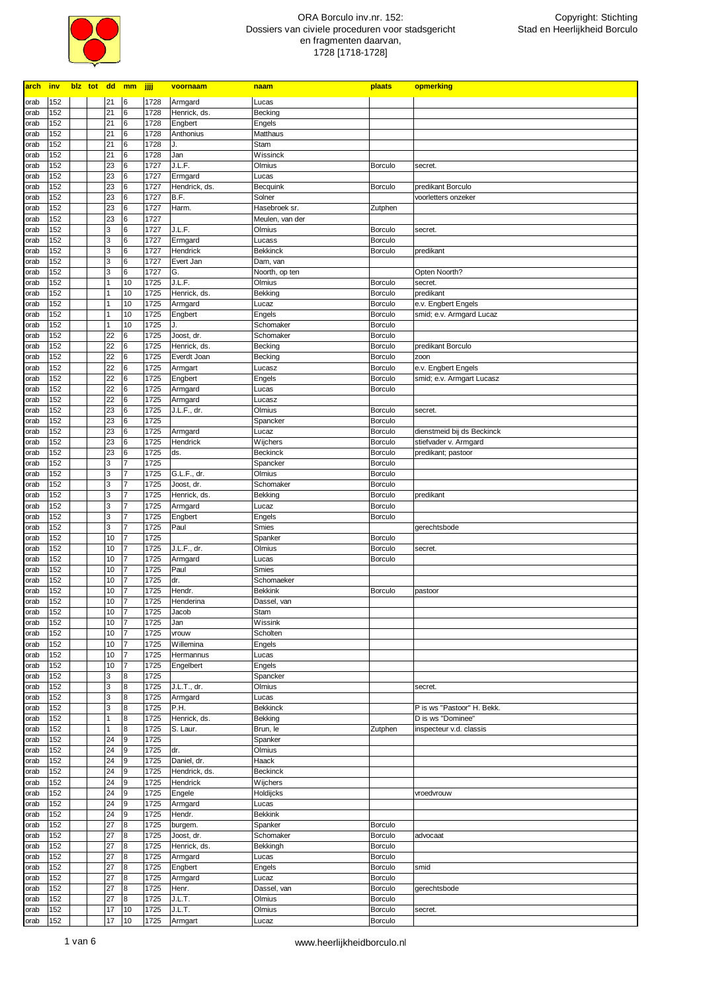

| <b>arch</b>  | <b>inv</b> | biz tot dd mm |          |                     | الآلآ        | voornaam              | naam                    | plaats                    | opmerking                  |
|--------------|------------|---------------|----------|---------------------|--------------|-----------------------|-------------------------|---------------------------|----------------------------|
| orab         | 152        |               | 21       | 6                   | 1728         | Armgard               | Lucas                   |                           |                            |
| orab         | 152        |               | 21       | 6                   | 1728         | Henrick, ds.          | Becking                 |                           |                            |
| orab         | 152        |               | 21       | 6                   | 1728         | Engbert               | Engels                  |                           |                            |
| orab         | 152        |               | 21       | 6                   | 1728         | Anthonius             | Matthaus                |                           |                            |
| orab         | 152        |               | 21       | 6                   | 1728         | J.                    | Stam                    |                           |                            |
| orab         | 152        |               | 21       | 6                   | 1728         | Jan                   | Wissinck                |                           |                            |
| orab         | 152        |               | 23       | 6                   | 1727         | J.L.F.                | Olmius                  | <b>Borculo</b>            | secret.                    |
| orab         | 152        |               | 23       | 6                   | 1727         | Ermgard               | Lucas                   |                           |                            |
| orab         | 152<br>152 |               | 23<br>23 | 6<br>6              | 1727<br>1727 | Hendrick, ds.<br>B.F. | Becquink                | <b>Borculo</b>            | predikant Borculo          |
| orab         | 152        |               | 23       | 6                   | 1727         | Harm.                 | Solner<br>Hasebroek sr. | Zutphen                   | voorletters onzeker        |
| orab<br>orab | 152        |               | 23       | 6                   | 1727         |                       | Meulen, van der         |                           |                            |
| orab         | 152        |               | 3        | $6\phantom{1}6$     | 1727         | J.L.F.                | Olmius                  | <b>Borculo</b>            | secret.                    |
| orab         | 152        |               | 3        | 6                   | 1727         | Ermgard               | Lucass                  | Borculo                   |                            |
| orab         | 152        |               | 3        | $6\phantom{1}6$     | 1727         | Hendrick              | <b>Bekkinck</b>         | Borculo                   | predikant                  |
| orab         | 152        |               | 3        | 6                   | 1727         | Evert Jan             | Dam, van                |                           |                            |
| orab         | 152        |               | 3        | 6                   | 1727         | G.                    | Noorth, op ten          |                           | Opten Noorth?              |
| orab         | 152        |               |          | 10                  | 1725         | J.L.F.                | Olmius                  | Borculo                   | secret.                    |
| orab         | 152        |               |          | 10                  | 1725         | Henrick, ds.          | Bekking                 | Borculo                   | predikant                  |
| orab         | 152        |               |          | 10                  | 1725         | Armgard               | Lucaz                   | Borculo                   | e.v. Engbert Engels        |
| orab         | 152        |               |          | 10                  | 1725         | Engbert               | Engels                  | <b>Borculo</b>            | smid; e.v. Armgard Lucaz   |
| orab         | 152        |               |          | 10                  | 1725         | J.                    | Schomaker               | Borculo                   |                            |
| orab         | 152        |               | 22       | $6\phantom{.}6$     | 1725         | Joost, dr.            | Schomaker               | <b>Borculo</b>            |                            |
| orab         | 152        |               | 22       | 6                   | 1725         | Henrick, ds.          | Becking                 | Borculo                   | predikant Borculo          |
| orab         | 152        |               | 22       | 6                   | 1725         | Everdt Joan           | Becking                 | Borculo                   | zoon                       |
| orab         | 152        |               | 22<br>22 | 6<br>6              | 1725         | Armgart               | Lucasz                  | <b>Borculo</b>            | e.v. Engbert Engels        |
| orab<br>orab | 152<br>152 |               | 22       | 6                   | 1725<br>1725 | Engbert<br>Armgard    | Engels<br>Lucas         | Borculo<br><b>Borculo</b> | smid; e.v. Armgart Lucasz  |
| orab         | 152        |               | 22       | 6                   | 1725         | Armgard               | Lucasz                  |                           |                            |
| orab         | 152        |               | 23       | 6                   | 1725         | J.L.F., dr.           | Olmius                  | <b>Borculo</b>            | secret.                    |
| orab         | 152        |               | 23       | 6                   | 1725         |                       | Spancker                | <b>Borculo</b>            |                            |
| orab         | 152        |               | 23       | 6                   | 1725         | Armgard               | Lucaz                   | <b>Borculo</b>            | dienstmeid bij ds Beckinck |
| orab         | 152        |               | 23       | 6                   | 1725         | Hendrick              | Wijchers                | <b>Borculo</b>            | stiefvader v. Armgard      |
| orab         | 152        |               | 23       | 6                   | 1725         | ds.                   | <b>Beckinck</b>         | Borculo                   | predikant; pastoor         |
| orab         | 152        |               | 3        | $\overline{7}$      | 1725         |                       | Spancker                | Borculo                   |                            |
| orab         | 152        |               | 3        | 7                   | 1725         | G.L.F., dr.           | Olmius                  | Borculo                   |                            |
| orab         | 152        |               | 3        | 7                   | 1725         | Joost, dr.            | Schomaker               | <b>Borculo</b>            |                            |
| orab         | 152        |               | 3        | $\overline{7}$      | 1725         | Henrick, ds.          | Bekking                 | Borculo                   | predikant                  |
| orab         | 152        |               | 3        | 7                   | 1725         | Armgard               | Lucaz                   | Borculo                   |                            |
| orab         | 152        |               | 3<br>3   | $\overline{7}$<br>7 | 1725<br>1725 | Engbert<br>Paul       | Engels                  | <b>Borculo</b>            |                            |
| orab<br>orab | 152<br>152 |               | 10       | $\overline{7}$      | 1725         |                       | Smies<br>Spanker        | <b>Borculo</b>            | gerechtsbode               |
| orab         | 152        |               | 10       | $\overline{7}$      | 1725         | J.L.F., dr.           | Olmius                  | Borculo                   | secret.                    |
| orab         | 152        |               | 10       | 7                   | 1725         | Armgard               | Lucas                   | <b>Borculo</b>            |                            |
| orab         | 152        |               | 10       | $\overline{7}$      | 1725         | Paul                  | Smies                   |                           |                            |
| orab         | 152        |               | 10       | $\overline{7}$      | 1725         | dr.                   | Schomaeker              |                           |                            |
| orab         | 152        |               | 10       | 7                   | 1725         | Hendr.                | <b>Bekkink</b>          | Borculo                   | pastoor                    |
| orab         | 152        |               | 10       | $\overline{7}$      | 1725         | Henderina             | Dassel, van             |                           |                            |
| orab         | 152        |               | 10       | 17                  | 1725         | Jacob                 | Stam                    |                           |                            |
| orab         | 152        |               | 10       | 17                  | 1725         | Jan                   | Wissink                 |                           |                            |
| orab         | 152        |               | 10       | 7                   | 1725         | vrouw                 | Scholten                |                           |                            |
| orab         | 152        |               | 10       | $\overline{7}$      | 1725         | Willemina             | Engels                  |                           |                            |
| orab         | 152        |               | 10       | $\overline{7}$      | 1725         | Hermannus             | Lucas                   |                           |                            |
| orab<br>orab | 152<br>152 |               | 10<br>3  | $\overline{7}$<br>8 | 1725<br>1725 | Engelbert             | Engels<br>Spancker      |                           |                            |
| orab         | 152        |               | 3        | 8                   | 1725         | J.L.T., dr.           | Olmius                  |                           | secret.                    |
| orab         | 152        |               | 3        | 8                   | 1725         | Armgard               | Lucas                   |                           |                            |
| orab         | 152        |               | 3        | 8                   | 1725         | P.H.                  | <b>Bekkinck</b>         |                           | P is ws "Pastoor" H. Bekk. |
| orab         | 152        |               |          | 8                   | 1725         | Henrick, ds.          | Bekking                 |                           | D is ws "Dominee"          |
| orab         | 152        |               |          | 8                   | 1725         | S. Laur.              | Brun, le                | Zutphen                   | inspecteur v.d. classis    |
| orab         | 152        |               | 24       | 9                   | 1725         |                       | Spanker                 |                           |                            |
| orab         | 152        |               | 24       | 9                   | 1725         | dr.                   | Olmius                  |                           |                            |
| orab         | 152        |               | 24       | 9                   | 1725         | Daniel, dr.           | Haack                   |                           |                            |
| orab         | 152        |               | 24       | 9                   | 1725         | Hendrick, ds.         | Beckinck                |                           |                            |
| orab         | 152        |               | 24       | 9                   | 1725         | Hendrick              | Wijchers                |                           |                            |
| orab         | 152        |               | 24       | 9                   | 1725         | Engele                | Holdijcks               |                           | vroedvrouw                 |
| orab         | 152<br>152 |               | 24       | 9<br>9              | 1725<br>1725 | Armgard               | Lucas<br><b>Bekkink</b> |                           |                            |
| orab         |            |               | 24       | 8                   |              | Hendr.                |                         |                           |                            |
| orab<br>orab | 152<br>152 |               | 27<br>27 | 8                   | 1725<br>1725 | burgem.<br>Joost, dr. | Spanker<br>Schomaker    | <b>Borculo</b><br>Borculo | advocaat                   |
| orab         | 152        |               | 27       | $\bf8$              | 1725         | Henrick, ds.          | Bekkingh                | Borculo                   |                            |
| orab         | 152        |               | 27       | $\bf8$              | 1725         | Armgard               | Lucas                   | <b>Borculo</b>            |                            |
| orab         | 152        |               | 27       | $\bf8$              | 1725         | Engbert               | Engels                  | Borculo                   | smid                       |
| orab         | 152        |               | 27       | $\boldsymbol{8}$    | 1725         | Armgard               | Lucaz                   | <b>Borculo</b>            |                            |
| orab         | 152        |               | 27       | $\boldsymbol{8}$    | 1725         | Henr.                 | Dassel, van             | Borculo                   | gerechtsbode               |
| orab         | 152        |               | 27       | 8                   | 1725         | J.L.T.                | Olmius                  | Borculo                   |                            |
| orab         | 152        |               | 17       | 10                  | 1725         | J.L.T.                | Olmius                  | Borculo                   | secret.                    |
| orab         | 152        |               | 17       | 10                  | 1725         | Armgart               | Lucaz                   | Borculo                   |                            |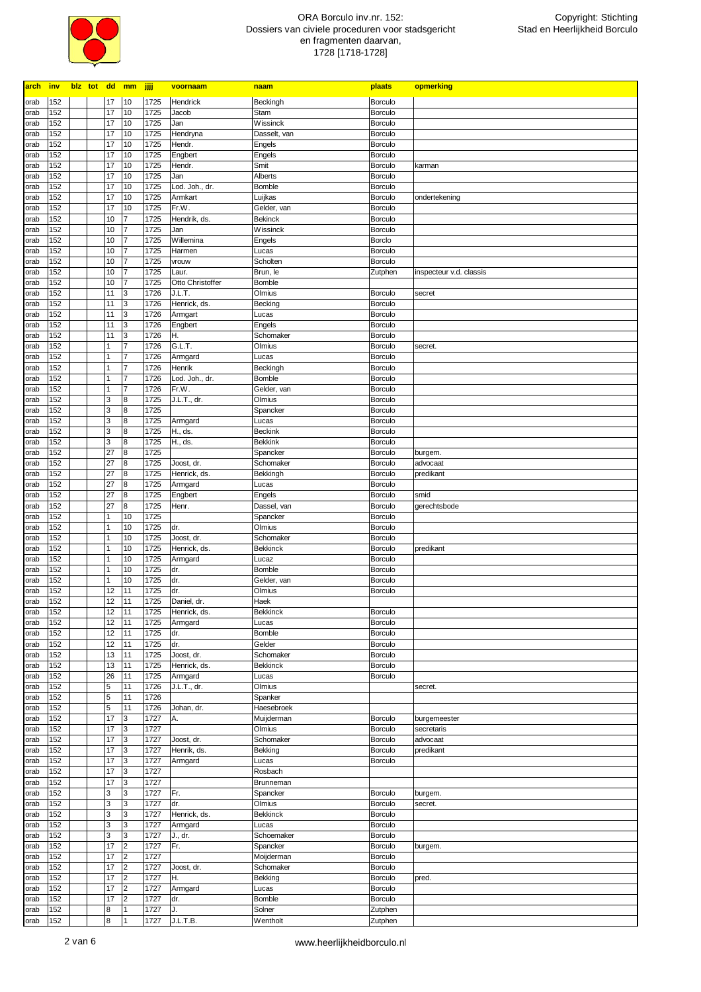

| arch         | inv        | blz tot dd mm |                                  |                | jjjj         | voornaam           | naam                  | plaats                           | opmerking               |
|--------------|------------|---------------|----------------------------------|----------------|--------------|--------------------|-----------------------|----------------------------------|-------------------------|
| orab         | 152        |               | 17                               | 10             | 1725         | Hendrick           | Beckingh              | <b>Borculo</b>                   |                         |
| orab         | 152        |               | 17                               | 10             | 1725         | Jacob              | Stam                  | Borculo                          |                         |
| orab         | 152        |               | 17                               | 10             | 1725         | Jan                | Wissinck              | Borculo                          |                         |
| orab         | 152        |               | 17                               | 10             | 1725         | Hendryna           | Dasselt, van          | Borculo                          |                         |
| orab         | 152        |               | 17                               | 10             | 1725         | Hendr.             | Engels                | Borculo                          |                         |
| orab         | 152        |               | 17                               | 10             | 1725         | Engbert            | Engels                | <b>Borculo</b>                   |                         |
| orab         | 152        |               | 17                               | 10             | 1725         | Hendr.             | Smit                  | <b>Borculo</b>                   | karman                  |
| orab         | 152        |               | 17                               | 10             | 1725         | Jan                | Alberts               | <b>Borculo</b>                   |                         |
| orab         | 152        |               | 17                               | 10             | 1725         | Lod. Joh., dr.     | Bomble                | <b>Borculo</b>                   |                         |
| orab         | 152        |               | 17                               | 10             | 1725         | Armkart            | Luijkas               | <b>Borculo</b>                   | ondertekening           |
| orab         | 152        |               | 17                               | 10             | 1725         | Fr.W.              | Gelder, van           | <b>Borculo</b>                   |                         |
| orab         | 152        |               | 10                               | 7              | 1725         | Hendrik, ds.       | <b>Bekinck</b>        | <b>Borculo</b>                   |                         |
| orab         | 152        |               | 10                               | 7              | 1725         | Jan                | Wissinck              | <b>Borculo</b>                   |                         |
| orab         | 152        |               | 10                               | 7<br>7         | 1725         | Willemina          | Engels                | <b>Borclo</b>                    |                         |
| orab         | 152<br>152 |               | 10<br>10                         | 7              | 1725<br>1725 | Harmen             | Lucas<br>Scholten     | <b>Borculo</b><br>Borculo        |                         |
| orab<br>orab | 152        |               | 10                               | 7              | 1725         | vrouw<br>Laur.     | Brun, le              | Zutphen                          | inspecteur v.d. classis |
| orab         | 152        |               | 10                               | 7              | 1725         | Otto Christoffer   | Bomble                |                                  |                         |
| orab         | 152        |               | 11                               | 3              | 1726         | J.L.T.             | Olmius                | Borculo                          | secret                  |
| orab         | 152        |               | 11                               | 3              | 1726         | Henrick, ds.       | Becking               | Borculo                          |                         |
| orab         | 152        |               | 11                               | 3              | 1726         | Armgart            | Lucas                 | <b>Borculo</b>                   |                         |
| orab         | 152        |               | 11                               | 3              | 1726         | Engbert            | Engels                | Borculo                          |                         |
| orab         | 152        |               | 11                               | 3              | 1726         | Η.                 | Schomaker             | <b>Borculo</b>                   |                         |
| orab         | 152        |               | $\mathbf{1}$                     | $\overline{7}$ | 1726         | G.L.T.             | Olmius                | <b>Borculo</b>                   | secret.                 |
| orab         | 152        |               | $\mathbf{1}$                     | $\overline{7}$ | 1726         | Armgard            | Lucas                 | <b>Borculo</b>                   |                         |
| orab         | 152        |               | $\mathbf{1}$                     | $\overline{7}$ | 1726         | Henrik             | Beckingh              | Borculo                          |                         |
| orab         | 152        |               | $\mathbf{1}$                     | $\overline{7}$ | 1726         | Lod. Joh., dr.     | Bomble                | <b>Borculo</b>                   |                         |
| orab         | 152        |               | $\overline{1}$                   | $\overline{7}$ | 1726         | Fr.W.              | Gelder, van           | Borculo                          |                         |
| orab         | 152        |               | 3                                | 8              | 1725         | J.L.T., dr.        | Olmius                | <b>Borculo</b>                   |                         |
| orab         | 152        |               | $\overline{3}$                   | 8              | 1725         |                    | Spancker              | <b>Borculo</b>                   |                         |
| orab         | 152        |               | 3                                | 8              | 1725         | Armgard            | Lucas                 | <b>Borculo</b>                   |                         |
| orab         | 152        |               | $\overline{3}$                   | 8              | 1725         | H., ds.            | <b>Beckink</b>        | <b>Borculo</b>                   |                         |
| orab         | 152        |               | 3                                | 8              | 1725         | H., ds.            | <b>Bekkink</b>        | <b>Borculo</b>                   |                         |
| orab         | 152        |               | 27                               | $\bf{8}$       | 1725         |                    | Spancker              | Borculo                          | burgem.                 |
| orab         | 152        |               | 27                               | 8<br>$\bf{8}$  | 1725         | Joost, dr.         | Schomaker             | <b>Borculo</b>                   | advocaat                |
| orab         | 152<br>152 |               | 27<br>27                         | 8              | 1725<br>1725 | Henrick, ds.       | Bekkingh              | <b>Borculo</b>                   | predikant               |
| orab<br>orab | 152        |               | 27                               | 8              | 1725         | Armgard<br>Engbert | Lucas<br>Engels       | <b>Borculo</b><br><b>Borculo</b> | smid                    |
| orab         | 152        |               | 27                               | $\bf{8}$       | 1725         | Henr.              | Dassel, van           | <b>Borculo</b>                   | gerechtsbode            |
| orab         | 152        |               | $\mathbf{1}$                     | 10             | 1725         |                    | Spancker              | <b>Borculo</b>                   |                         |
| orab         | 152        |               | $\overline{1}$                   | 10             | 1725         | dr.                | Olmius                | <b>Borculo</b>                   |                         |
| orab         | 152        |               | $\mathbf{1}$                     | 10             | 1725         | Joost, dr.         | Schomaker             | <b>Borculo</b>                   |                         |
| orab         | 152        |               | $\mathbf{1}$                     | 10             | 1725         | Henrick, ds.       | <b>Bekkinck</b>       | <b>Borculo</b>                   | predikant               |
| orab         | 152        |               | $\mathbf{1}$                     | 10             | 1725         | Armgard            | Lucaz                 | <b>Borculo</b>                   |                         |
| orab         | 152        |               | $\mathbf{1}$                     | 10             | 1725         | dr.                | Bomble                | <b>Borculo</b>                   |                         |
| orab         | 152        |               | $\overline{1}$                   | 10             | 1725         | dr.                | Gelder, van           | <b>Borculo</b>                   |                         |
| orab         | 152        |               | 12                               | 11             | 1725         | dr.                | Olmius                | Borculo                          |                         |
| orab         | 152        |               | 12                               | 11             | 1725         | Daniel, dr.        | Haek                  |                                  |                         |
| orab         | 152        |               | 12                               | 11             | 1725         | Henrick, ds.       | Bekkinck              | <b>Borculo</b>                   |                         |
| orab         | 152        |               | 12                               | 11             | 1725         | Armgard            | Lucas                 | Borculo                          |                         |
| orab         | 152        |               | 12                               | 11             | 1725         | dr.                | Bomble                | Borculo                          |                         |
| orab         | 152        |               | 12                               | 11             | 1725         | dr.                | Gelder                | Borculo                          |                         |
| orab         | 152        |               | 13                               | 11             | 1725         | Joost, dr.         | Schomaker             | Borculo                          |                         |
| orab         | 152        |               | 13                               | 11             | 1725         | Henrick, ds.       | <b>Bekkinck</b>       | <b>Borculo</b>                   |                         |
| orab         | 152        |               | 26                               | 11             | 1725         | Armgard            | Lucas                 | Borculo                          |                         |
| orab         | 152        |               | $\overline{5}$                   | 11             | 1726         | J.L.T., dr.        | Olmius                |                                  | secret.                 |
| orab         | 152<br>152 |               | $\overline{5}$<br>$\overline{5}$ | 11<br>11       | 1726<br>1726 | Johan, dr.         | Spanker<br>Haesebroek |                                  |                         |
| orab<br>orab | 152        |               | 17                               | 3              | 1727         | Α.                 | Muijderman            | <b>Borculo</b>                   | burgemeester            |
| orab         | 152        |               | 17                               | 3              | 1727         |                    | Olmius                | Borculo                          | secretaris              |
| orab         | 152        |               | 17                               | 3              | 1727         | Joost, dr.         | Schomaker             | Borculo                          | advocaat                |
| orab         | 152        |               | 17                               | 3              | 1727         | Henrik, ds.        | Bekking               | Borculo                          | predikant               |
| orab         | 152        |               | 17                               | 3              | 1727         | Armgard            | Lucas                 | Borculo                          |                         |
| orab         | 152        |               | 17                               | 3              | 1727         |                    | Rosbach               |                                  |                         |
| orab         | 152        |               | 17                               | 3              | 1727         |                    | Brunneman             |                                  |                         |
| orab         | 152        |               | 3                                | 3              | 1727         | Fr.                | Spancker              | Borculo                          | burgem.                 |
| orab         | 152        |               | 3                                | 3              | 1727         | dr.                | Olmius                | Borculo                          | secret.                 |
| orab         | 152        |               | 3                                | 3              | 1727         | Henrick, ds.       | <b>Bekkinck</b>       | Borculo                          |                         |
| orab         | 152        |               | 3                                | 3              | 1727         | Armgard            | Lucas                 | Borculo                          |                         |
| orab         | 152        |               | 3                                | 3              | 1727         | J., dr.            | Schoemaker            | Borculo                          |                         |
| orab         | 152        |               | 17                               | 2              | 1727         | Fr.                | Spancker              | Borculo                          | burgem.                 |
| orab         | 152        |               | 17                               | $\overline{2}$ | 1727         |                    | Moijderman            | Borculo                          |                         |
| orab         | 152        |               | 17                               | 2              | 1727         | Joost, dr.         | Schomaker             | Borculo                          |                         |
| orab         | 152        |               | 17                               | $\overline{2}$ | 1727         | Η.                 | Bekking               | Borculo                          | pred.                   |
| orab         | 152        |               | 17                               | $\overline{2}$ | 1727         | Armgard            | Lucas                 | Borculo                          |                         |
| orab         | 152        |               | 17                               | $\overline{2}$ | 1727         | dr.                | Bomble                | Borculo                          |                         |
| orab         | 152        |               | $\bf8$                           | $\mathbf{1}$   | 1727         | J.                 | Solner                | Zutphen                          |                         |
| orab         | 152        |               | $\bf 8$                          | $\mathbf{1}$   | 1727         | J.L.T.B.           | Wentholt              | Zutphen                          |                         |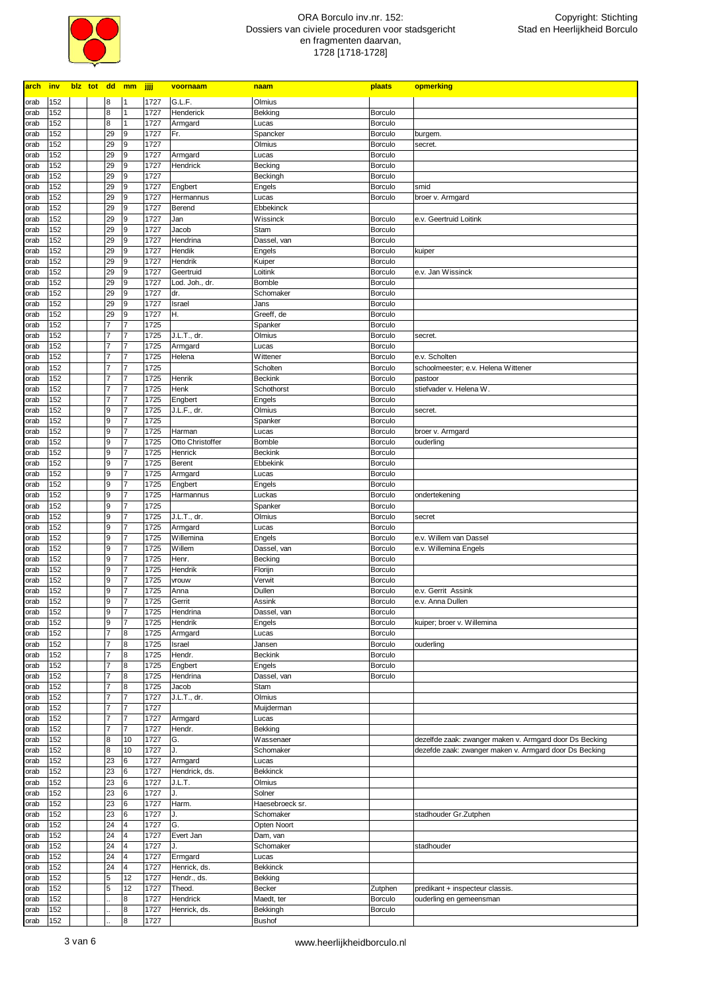

| <b>arch</b>  | <b>inv</b> |  |                                  | blz tot dd mm jjjj               |              | voornaam          | naam              | plaats                    | opmerking                                               |
|--------------|------------|--|----------------------------------|----------------------------------|--------------|-------------------|-------------------|---------------------------|---------------------------------------------------------|
| orab         | 152        |  | 8                                | $\mathbf{1}$                     | 1727         | G.L.F.            | Olmius            |                           |                                                         |
| orab         | 152        |  | 8                                | $\mathbf{1}$                     | 1727         | Henderick         | Bekking           | <b>Borculo</b>            |                                                         |
| orab         | 152        |  | 8                                | $\mathbf{1}$                     | 1727         | Armgard           | Lucas             | <b>Borculo</b>            |                                                         |
| orab         | 152        |  | 29                               | 9                                | 1727         | Fr.               | Spancker          | <b>Borculo</b>            | burgem.                                                 |
| orab         | 152        |  | 29                               | 9                                | 1727         |                   | Olmius            | Borculo                   | secret.                                                 |
| orab         | 152        |  | 29                               | 9                                | 1727         | Armgard           | Lucas             | <b>Borculo</b>            |                                                         |
| orab         | 152        |  | 29                               | 9                                | 1727         | Hendrick          | Becking           | <b>Borculo</b>            |                                                         |
| orab         | 152        |  | 29                               | 9                                | 1727         |                   | Beckingh          | <b>Borculo</b>            |                                                         |
| orab         | 152        |  | 29                               | 9                                | 1727         | Engbert           | Engels            | <b>Borculo</b>            | smid                                                    |
| orab         | 152        |  | 29                               | 9                                | 1727         | Hermannus         | Lucas             | <b>Borculo</b>            | broer v. Armgard                                        |
| orab         | 152        |  | 29                               | 9                                | 1727         | Berend            | Ebbekinck         |                           |                                                         |
| orab         | 152        |  | 29                               | 9                                | 1727         | Jan               | Wissinck          | <b>Borculo</b>            | e.v. Geertruid Loitink                                  |
| orab         | 152        |  | 29                               | 9                                | 1727         | Jacob             | Stam              | <b>Borculo</b>            |                                                         |
| orab         | 152        |  | 29                               | 9                                | 1727         | Hendrina          | Dassel, van       | <b>Borculo</b>            |                                                         |
| orab         | 152        |  | 29                               | 9                                | 1727         | Hendik            | Engels            | <b>Borculo</b>            | kuiper                                                  |
| orab         | 152        |  | 29                               | 9                                | 1727         | Hendrik           | Kuiper            | <b>Borculo</b>            |                                                         |
| orab         | 152        |  | 29                               | 9                                | 1727         | Geertruid         | Loitink           | <b>Borculo</b>            | e.v. Jan Wissinck                                       |
| orab         | 152        |  | 29                               | 9                                | 1727         | Lod. Joh., dr.    | Bomble            | <b>Borculo</b>            |                                                         |
| orab         | 152        |  | 29                               | 9                                | 1727         | dr.               | Schomaker         | <b>Borculo</b>            |                                                         |
| orab         | 152        |  | 29                               | 9                                | 1727         | Israel            | Jans              | <b>Borculo</b>            |                                                         |
| orab         | 152        |  | 29                               | 9                                | 1727         | Η.                | Greeff, de        | <b>Borculo</b>            |                                                         |
| orab         | 152        |  | $\overline{7}$                   | 7                                | 1725         |                   | Spanker           | <b>Borculo</b>            |                                                         |
| orab         | 152        |  | $\overline{7}$                   | $\overline{7}$                   | 1725         | J.L.T., dr.       | Olmius            | <b>Borculo</b>            | secret.                                                 |
| orab         | 152        |  | $\overline{7}$                   | $\overline{7}$                   | 1725         | Armgard           | Lucas             | Borculo                   |                                                         |
| orab         | 152        |  | $\overline{7}$                   | $\overline{7}$                   | 1725         | Helena            | Wittener          | <b>Borculo</b>            | e.v. Scholten                                           |
| orab         | 152        |  | $\overline{7}$                   | $\overline{7}$                   | 1725         |                   | Scholten          | <b>Borculo</b>            | schoolmeester; e.v. Helena Wittener                     |
| orab         | 152        |  | $\overline{7}$                   | $\overline{7}$                   | 1725         | Henrik            | <b>Beckink</b>    | <b>Borculo</b>            | pastoor                                                 |
| orab         | 152        |  | $\overline{7}$<br>$\overline{7}$ | $\overline{7}$<br>$\overline{7}$ | 1725         | Henk              | Schothorst        | <b>Borculo</b>            | stiefvader v. Helena W.                                 |
| orab         | 152<br>152 |  | 9                                | $\overline{7}$                   | 1725         | Engbert           | Engels            | Borculo                   |                                                         |
| orab         | 152        |  | 9                                | $\overline{7}$                   | 1725<br>1725 | J.L.F., dr.       | Olmius<br>Spanker | <b>Borculo</b>            | secret.                                                 |
| orab<br>orab | 152        |  | 9                                | $\overline{7}$                   | 1725         | Harman            | Lucas             | <b>Borculo</b><br>Borculo | broer v. Armgard                                        |
| orab         | 152        |  | 9                                | 7                                | 1725         | Otto Christoffer  | Bomble            | Borculo                   | ouderling                                               |
| orab         | 152        |  | 9                                | $\overline{7}$                   | 1725         | Henrick           | <b>Beckink</b>    | <b>Borculo</b>            |                                                         |
| orab         | 152        |  | 9                                | 7                                | 1725         | <b>Berent</b>     | Ebbekink          | <b>Borculo</b>            |                                                         |
| orab         | 152        |  | 9                                | $\overline{7}$                   | 1725         | Armgard           | Lucas             | <b>Borculo</b>            |                                                         |
| orab         | 152        |  | 9                                | 7                                | 1725         | Engbert           | Engels            | <b>Borculo</b>            |                                                         |
| orab         | 152        |  | 9                                | 7                                | 1725         | Harmannus         | Luckas            | <b>Borculo</b>            | ondertekening                                           |
| orab         | 152        |  | 9                                | 7                                | 1725         |                   | Spanker           | <b>Borculo</b>            |                                                         |
| orab         | 152        |  | 9                                | 7                                | 1725         | J.L.T., dr.       | Olmius            | <b>Borculo</b>            | secret                                                  |
| orab         | 152        |  | 9                                | 7                                | 1725         | Armgard           | Lucas             | <b>Borculo</b>            |                                                         |
| orab         | 152        |  | 9                                | 7                                | 1725         | Willemina         | Engels            | <b>Borculo</b>            | e.v. Willem van Dassel                                  |
| orab         | 152        |  | 9                                | 7                                | 1725         | Willem            | Dassel, van       | <b>Borculo</b>            | e.v. Willemina Engels                                   |
| orab         | 152        |  | 9                                | 7                                | 1725         | Henr.             | Becking           | <b>Borculo</b>            |                                                         |
| orab         | 152        |  | 9                                | 7                                | 1725         | Hendrik           | Florijn           | <b>Borculo</b>            |                                                         |
| orab         | 152        |  | 9                                | 7                                | 1725         | vrouw             | Verwit            | <b>Borculo</b>            |                                                         |
| orab         | 152        |  | 9                                | 7                                | 1725         | Anna              | Dullen            | <b>Borculo</b>            | e.v. Gerrit Assink                                      |
| orab         | 152        |  | 9                                | $\overline{7}$                   | 1725         | Gerrit            | Assink            | <b>Borculo</b>            | e.v. Anna Dullen                                        |
| orab         | 152        |  | 9                                | $\overline{7}$                   | 1725         | Hendrina          | Dassel, van       | Borculo                   |                                                         |
| orab         | 152        |  | 9                                | $\overline{7}$                   | 1725         | Hendrik           | Engels            | Borculo                   | kuiper; broer v. Willemina                              |
| orab         | 152        |  | $\overline{7}$                   | 8                                | 1725         | Armgard           | Lucas             | <b>Borculo</b>            |                                                         |
| orab         | 152        |  | $\overline{7}$                   | 8                                | 1725         | Israel            | Jansen            | Borculo                   | ouderling                                               |
| orab         | 152        |  | $\overline{7}$                   | 8                                | 1725         | Hendr.            | <b>Beckink</b>    | <b>Borculo</b>            |                                                         |
| orab         | 152        |  | $\overline{7}$                   | 8                                | 1725         | Engbert           | Engels            | Borculo                   |                                                         |
| orab         | 152        |  | $\overline{7}$                   | 8                                | 1725         | Hendrina          | Dassel, van       | <b>Borculo</b>            |                                                         |
| orab         | 152        |  | $\overline{7}$<br>$\overline{7}$ | 8<br>$\overline{7}$              | 1725         | Jacob             | Stam<br>Olmius    |                           |                                                         |
| orab         | 152<br>152 |  | $\overline{7}$                   | $\overline{7}$                   | 1727<br>1727 | J.L.T., dr.       | Muijderman        |                           |                                                         |
| orab         | 152        |  | $\overline{7}$                   | $\overline{7}$                   | 1727         |                   | Lucas             |                           |                                                         |
| orab<br>orab | 152        |  | $\overline{7}$                   | $\overline{7}$                   | 1727         | Armgard<br>Hendr. | Bekking           |                           |                                                         |
| orab         | 152        |  | 8                                | 10                               | 1727         | G.                | Wassenaer         |                           | dezelfde zaak: zwanger maken v. Armgard door Ds Becking |
| orab         | 152        |  | 8                                | 10                               | 1727         | J.                | Schomaker         |                           | dezefde zaak: zwanger maken v. Armgard door Ds Becking  |
| orab         | 152        |  | 23                               | 6                                | 1727         | Armgard           | Lucas             |                           |                                                         |
| orab         | 152        |  | 23                               | $\,$ 6                           | 1727         | Hendrick, ds.     | <b>Bekkinck</b>   |                           |                                                         |
| orab         | 152        |  | 23                               | $\,$ 6                           | 1727         | J.L.T.            | Olmius            |                           |                                                         |
| orab         | 152        |  | 23                               | $\,$ 6                           | 1727         | J.                | Solner            |                           |                                                         |
| orab         | 152        |  | 23                               | $\,$ 6                           | 1727         | Harm.             | Haesebroeck sr.   |                           |                                                         |
| orab         | 152        |  | 23                               | $\bf 6$                          | 1727         | J.                | Schomaker         |                           | stadhouder Gr.Zutphen                                   |
| orab         | 152        |  | 24                               | 4                                | 1727         | G.                | Opten Noort       |                           |                                                         |
| orab         | 152        |  | 24                               | 4                                | 1727         | Evert Jan         | Dam, van          |                           |                                                         |
| orab         | 152        |  | 24                               | 4                                | 1727         | J.                | Schomaker         |                           | stadhouder                                              |
| orab         | 152        |  | 24                               | 4                                | 1727         | Ermgard           | Lucas             |                           |                                                         |
| orab         | 152        |  | 24                               | 4                                | 1727         | Henrick, ds.      | <b>Bekkinck</b>   |                           |                                                         |
| orab         | 152        |  | 5                                | 12                               | 1727         | Hendr., ds.       | <b>Bekking</b>    |                           |                                                         |
| orab         | 152        |  | 5                                | 12                               | 1727         | Theod.            | Becker            | Zutphen                   | predikant + inspecteur classis.                         |
| orab         | 152        |  |                                  | 8                                | 1727         | Hendrick          | Maedt, ter        | Borculo                   | ouderling en gemeensman                                 |
| orab         | 152        |  |                                  | $\bf8$                           | 1727         | Henrick, ds.      | Bekkingh          | Borculo                   |                                                         |
| orab         | 152        |  |                                  | 8                                | 1727         |                   | Bushof            |                           |                                                         |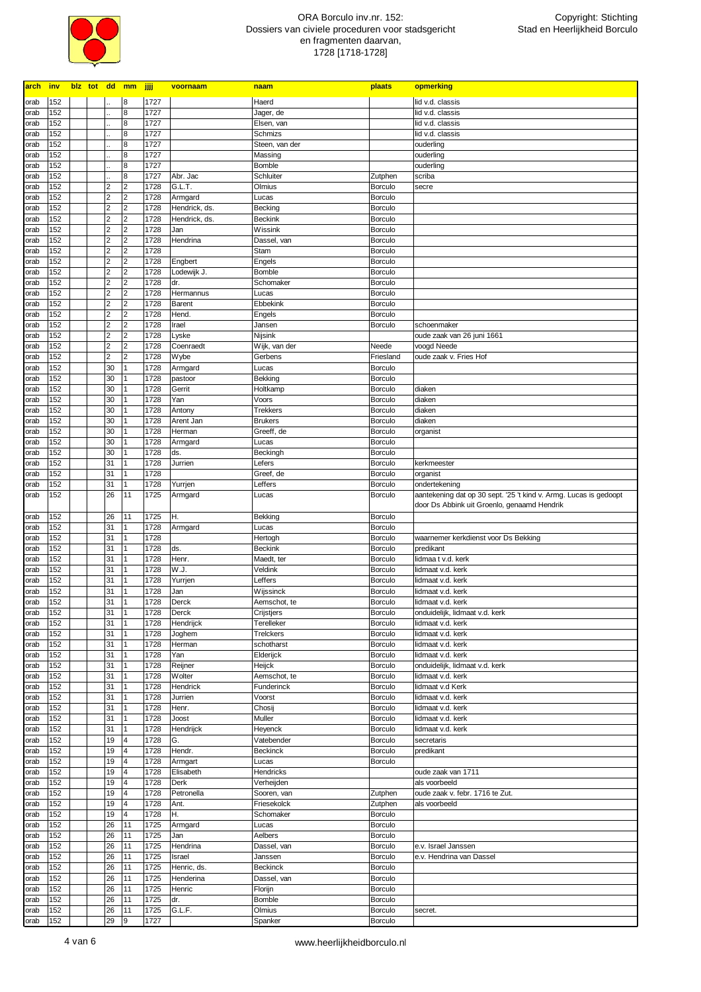

| <b>arch</b>  | <b>inv</b> |  |                | blz tot dd mm                    | <u>iiji </u> | voornaam             | naam                      | plaats                    | opmerking                                                         |
|--------------|------------|--|----------------|----------------------------------|--------------|----------------------|---------------------------|---------------------------|-------------------------------------------------------------------|
| orab         | 152        |  |                | 8                                | 1727         |                      | Haerd                     |                           | lid v.d. classis                                                  |
| orab         | 152        |  |                | 8                                | 1727         |                      | Jager, de                 |                           | lid v.d. classis                                                  |
| orab         | 152        |  |                | 8                                | 1727         |                      | Elsen, van                |                           | lid v.d. classis                                                  |
| orab         | 152        |  |                | 8                                | 1727         |                      | Schmizs                   |                           | lid v.d. classis                                                  |
| orab         | 152        |  |                | 8                                | 1727         |                      | Steen, van der            |                           | ouderling                                                         |
| orab         | 152        |  |                | 8                                | 1727         |                      | Massing                   |                           | ouderling                                                         |
| orab         | 152        |  |                | 8                                | 1727         |                      | Bomble                    |                           | ouderling                                                         |
| orab         | 152        |  |                | 8                                | 1727         | Abr. Jac             | Schluiter                 | Zutphen                   | scriba                                                            |
| orab         | 152        |  | 2              | $\overline{2}$                   | 1728         | G.L.T.               | Olmius                    | <b>Borculo</b>            | secre                                                             |
| orab         | 152        |  | 2              | $\overline{2}$                   | 1728         | Armgard              | Lucas                     | <b>Borculo</b>            |                                                                   |
| orab         | 152        |  | $\overline{2}$ | $\overline{2}$                   | 1728         | Hendrick, ds.        | Becking                   | <b>Borculo</b>            |                                                                   |
| orab         | 152        |  | 2              | $\overline{2}$                   | 1728         | Hendrick, ds.        | <b>Beckink</b>            | <b>Borculo</b>            |                                                                   |
| orab         | 152        |  | $\overline{2}$ | $\overline{2}$                   | 1728         | Jan                  | Wissink                   | Borculo                   |                                                                   |
| orab         | 152        |  | 2              | $\overline{2}$                   | 1728         | Hendrina             | Dassel, van               | <b>Borculo</b>            |                                                                   |
| orab         | 152        |  | $\overline{2}$ | $\overline{2}$                   | 1728         |                      | Stam                      | Borculo                   |                                                                   |
| orab         | 152        |  | 2              | $\overline{2}$                   | 1728         | Engbert              | Engels                    | <b>Borculo</b>            |                                                                   |
| orab         | 152        |  | $\overline{2}$ | $\overline{2}$                   | 1728         | Lodewijk J.          | <b>Bomble</b>             | Borculo                   |                                                                   |
| orab         | 152        |  | 2              | $\overline{2}$                   | 1728         | dr.                  | Schomaker                 | <b>Borculo</b>            |                                                                   |
| orab         | 152        |  | $\overline{2}$ | $\overline{2}$                   | 1728         | Hermannus            | Lucas                     | Borculo                   |                                                                   |
| orab         | 152        |  | 2              | $\overline{2}$                   | 1728         | Barent               | Ebbekink                  | <b>Borculo</b>            |                                                                   |
| orab         | 152        |  | $\overline{2}$ | $\overline{2}$                   | 1728         | Hend.                | Engels                    | Borculo                   |                                                                   |
| orab         | 152        |  | 2              | $\overline{2}$                   | 1728         | Irael                | Jansen                    | <b>Borculo</b>            | schoenmaker                                                       |
| orab         | 152        |  | $\overline{2}$ | $\overline{2}$                   | 1728         | Lyske                | Nijsink                   |                           | oude zaak van 26 juni 1661                                        |
| orab         | 152        |  | 2              | $\overline{2}$                   | 1728         | Coenraedt            | Wijk, van der             | Neede                     | voogd Neede                                                       |
| orab         | 152        |  | $\overline{2}$ | $\overline{2}$                   | 1728         | Wybe                 | Gerbens                   | Friesland                 | oude zaak v. Fries Hof                                            |
| orab         | 152        |  | 30             | $\vert$ 1                        | 1728         | Armgard              | Lucas                     | <b>Borculo</b>            |                                                                   |
| orab         | 152        |  | 30             | 1                                | 1728         | pastoor              | Bekking                   | <b>Borculo</b>            |                                                                   |
| orab         | 152        |  | 30             | 1                                | 1728         | Gerrit               | Holtkamp                  | <b>Borculo</b>            | diaken                                                            |
| orab         | 152        |  | 30             | 1                                | 1728         | Yan                  | Voors                     | <b>Borculo</b>            | diaken                                                            |
| orab         | 152        |  | 30             |                                  | 1728         | Antony               | <b>Trekkers</b>           | <b>Borculo</b>            | diaken                                                            |
| orab         | 152        |  | 30             |                                  | 1728         | Arent Jan            | <b>Brukers</b>            | <b>Borculo</b>            | diaken                                                            |
| orab         | 152        |  | 30             | 1                                | 1728         | Herman               | Greeff, de                | <b>Borculo</b>            | organist                                                          |
| orab         | 152        |  | 30             |                                  | 1728         | Armgard              | Lucas                     | <b>Borculo</b>            |                                                                   |
| orab         | 152        |  | 30             |                                  | 1728<br>1728 | ds.                  | Beckingh                  | Borculo                   |                                                                   |
| orab         | 152<br>152 |  | 31<br>31       | 11                               | 1728         | Jurrien              | Lefers<br>Greef, de       | <b>Borculo</b>            | kerkmeester<br>organist                                           |
| orab         | 152        |  | 31             | 1                                | 1728         | Yurrjen              | Leffers                   | Borculo<br><b>Borculo</b> | ondertekening                                                     |
| orab<br>orab | 152        |  | 26             | 11                               | 1725         | Armgard              | Lucas                     | Borculo                   | aantekening dat op 30 sept. '25 't kind v. Armg. Lucas is gedoopt |
|              |            |  |                |                                  |              |                      |                           |                           | door Ds Abbink uit Groenlo, genaamd Hendrik                       |
| orab         | 152        |  | 26             | 11                               | 1725         | Η.                   | Bekking                   | Borculo                   |                                                                   |
| orab         | 152        |  | 31             |                                  | 1728         | Armgard              | Lucas                     | <b>Borculo</b>            |                                                                   |
| orab         | 152        |  | 31             | 1                                | 1728         |                      | Hertogh                   | <b>Borculo</b>            | waarnemer kerkdienst voor Ds Bekking                              |
| orab         | 152        |  | 31             |                                  | 1728         | ds.                  | <b>Beckink</b>            | <b>Borculo</b>            | predikant                                                         |
| orab         | 152        |  | 31             | $\vert$ 1                        | 1728         | Henr.                | Maedt, ter                | <b>Borculo</b>            | lidmaa t v.d. kerk                                                |
| orab         | 152        |  | 31             |                                  | 1728         | W.J.                 | Veldink                   | <b>Borculo</b>            | lidmaat v.d. kerk                                                 |
| orab         | 152        |  | 31             |                                  | 1728         | Yurrjen              | Leffers                   | <b>Borculo</b>            | lidmaat v.d. kerk                                                 |
| orab         | 152        |  | 31             |                                  | 1728         | Jan                  | Wijssinck                 | <b>Borculo</b>            | lidmaat v.d. kerk                                                 |
| orab         | 152        |  | 31             | $\vert$ 1                        | 1728         | Derck                | Aemschot, te              | <b>Borculo</b>            | lidmaat v.d. kerk                                                 |
| orab         | 152        |  | 31             | $\mathbf{1}$                     | 1728         | Derck                | Crijstjers                | Borculo                   | onduidelijk, lidmaat v.d. kerk                                    |
| orab         | 152        |  | 31             | $\mathbf{1}$                     | 1728         | Hendrijck            | Terelleker                | Borculo                   | lidmaat v.d. kerk                                                 |
| orab         | 152        |  | 31             | $\overline{1}$                   | 1728         | Joghem               | Trelckers                 | <b>Borculo</b>            | lidmaat v.d. kerk                                                 |
| orab         | 152        |  | 31             | $\overline{1}$                   | 1728         | Herman               | schotharst                | <b>Borculo</b>            | lidmaat v.d. kerk                                                 |
| orab         | 152        |  | 31             | $\vert$ 1                        | 1728         | Yan                  | Elderijck                 | <b>Borculo</b>            | lidmaat v.d. kerk                                                 |
| orab         | 152        |  | 31             | $\overline{1}$                   | 1728         | Reijner              | Heijck                    | <b>Borculo</b>            | onduidelijk, lidmaat v.d. kerk                                    |
| orab         | 152        |  | 31             |                                  | 1728         | Wolter               | Aemschot, te              | <b>Borculo</b>            | lidmaat v.d. kerk                                                 |
| orab         | 152        |  | 31             |                                  | 1728         | Hendrick             | Funderinck                | <b>Borculo</b>            | lidmaat v.d Kerk                                                  |
| orab         | 152        |  | 31             |                                  | 1728         | Jurrien              | Voorst                    | <b>Borculo</b>            | lidmaat v.d. kerk                                                 |
| orab         | 152        |  | 31             |                                  | 1728         | Henr.                | Chosij                    | <b>Borculo</b>            | lidmaat v.d. kerk                                                 |
| orab         | 152        |  | 31             |                                  | 1728         | Joost                | Muller                    | Borculo                   | lidmaat v.d. kerk                                                 |
| orab         | 152        |  | 31             |                                  | 1728         | Hendrijck            | Heyenck                   | <b>Borculo</b>            | lidmaat v.d. kerk                                                 |
| orab         | 152        |  | 19             | $\overline{4}$<br>$\overline{4}$ | 1728<br>1728 | G.                   | Vatebender                | Borculo                   | secretaris                                                        |
| orab         | 152        |  | 19             |                                  |              | Hendr.               | <b>Beckinck</b>           | <b>Borculo</b>            | predikant                                                         |
| orab<br>orab | 152<br>152 |  | 19<br>19       | $\overline{4}$<br>$\overline{4}$ | 1728<br>1728 | Armgart<br>Elisabeth | Lucas<br>Hendricks        | Borculo                   | oude zaak van 1711                                                |
|              | 152        |  | 19             | $\overline{4}$                   | 1728         | Derk                 |                           |                           | als voorbeeld                                                     |
| orab<br>orab | 152        |  | 19             | $\overline{4}$                   | 1728         | Petronella           | Verheijden<br>Sooren, van | Zutphen                   | oude zaak v. febr. 1716 te Zut.                                   |
| orab         | 152        |  | 19             | $\overline{4}$                   | 1728         | Ant.                 | Friesekolck               | Zutphen                   | als voorbeeld                                                     |
| orab         | 152        |  | 19             | $\overline{\mathbf{4}}$          | 1728         | Η.                   | Schomaker                 | <b>Borculo</b>            |                                                                   |
| orab         | 152        |  | 26             | 11                               | 1725         | Armgard              | Lucas                     | <b>Borculo</b>            |                                                                   |
| orab         | 152        |  | 26             | 11                               | 1725         | Jan                  | Aelbers                   | <b>Borculo</b>            |                                                                   |
| orab         | 152        |  | 26             | 11                               | 1725         | Hendrina             | Dassel, van               | <b>Borculo</b>            | e.v. Israel Janssen                                               |
| orab         | 152        |  | 26             | 11                               | 1725         | Israel               | Janssen                   | <b>Borculo</b>            | e.v. Hendrina van Dassel                                          |
| orab         | 152        |  | 26             | 11                               | 1725         | Henric, ds.          | <b>Beckinck</b>           | Borculo                   |                                                                   |
| orab         | 152        |  | 26             | 11                               | 1725         | Henderina            | Dassel, van               | <b>Borculo</b>            |                                                                   |
| orab         | 152        |  | 26             | 11                               | 1725         | Henric               | Florijn                   | <b>Borculo</b>            |                                                                   |
| orab         | 152        |  | 26             | 11                               | 1725         | dr.                  | Bomble                    | <b>Borculo</b>            |                                                                   |
| orab         | 152        |  | 26             | 11                               | 1725         | G.L.F.               | Olmius                    | Borculo                   | secret.                                                           |
| orab         | 152        |  | 29             | 9                                | 1727         |                      | Spanker                   | Borculo                   |                                                                   |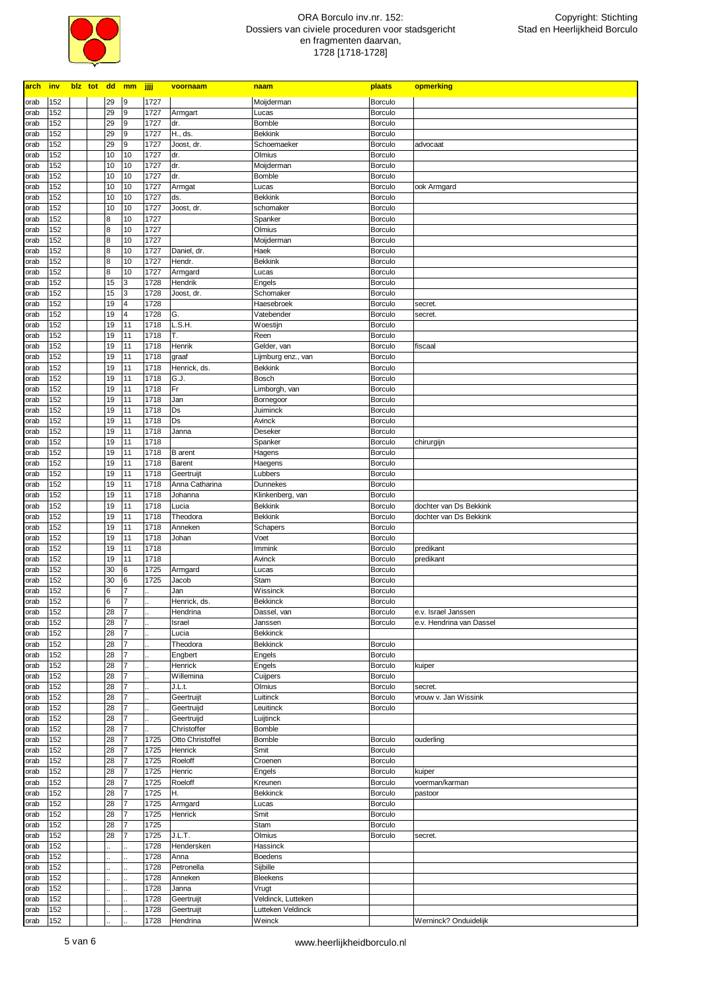

| arch         | inv        | blz tot dd mm |          |                | <b>jjjj</b>  | voornaam            | naam               | plaats             | opmerking                |
|--------------|------------|---------------|----------|----------------|--------------|---------------------|--------------------|--------------------|--------------------------|
| orab         | 152        |               | 29       | l9             | 1727         |                     | Moijderman         | Borculo            |                          |
| orab         | 152        |               | 29       | 9              | 1727         | Armgart             | Lucas              | <b>Borculo</b>     |                          |
| orab         | 152        |               | 29       | 9              | 1727         | dr.                 | <b>Bomble</b>      | <b>Borculo</b>     |                          |
| orab         | 152        |               | 29       | 9              | 1727         | H., ds.             | <b>Bekkink</b>     | <b>Borculo</b>     |                          |
| orab         | 152        |               | 29       | 9              | 1727         | Joost, dr.          | Schoemaeker        | Borculo            | advocaat                 |
| orab         | 152        |               | 10       | 10             | 1727         | dr.                 | Olmius             | <b>Borculo</b>     |                          |
| orab         | 152        |               | 10       | 10             | 1727         | dr.                 | Moijderman         | <b>Borculo</b>     |                          |
| orab         | 152        |               | 10       | 10             | 1727         | dr.                 | Bomble             | <b>Borculo</b>     |                          |
| orab         | 152        |               | 10       | 10             | 1727         | Armgat              | Lucas              | Borculo            | ook Armgard              |
| orab         | 152        |               | 10       | 10             | 1727         | ds.                 | <b>Bekkink</b>     | <b>Borculo</b>     |                          |
| orab         | 152        |               | 10       | 10             | 1727         | Joost, dr.          | schomaker          | <b>Borculo</b>     |                          |
| orab         | 152        |               | 8        | 10             | 1727         |                     | Spanker            | <b>Borculo</b>     |                          |
| orab         | 152        |               | 8        | 10             | 1727         |                     | Olmius             | <b>Borculo</b>     |                          |
| orab         | 152        |               | 8        | 10             | 1727         |                     | Moijderman         | <b>Borculo</b>     |                          |
| orab         | 152        |               | 8        | 10             | 1727         | Daniel, dr.         | Haek               | <b>Borculo</b>     |                          |
| orab         | 152        |               | 8        | 10             | 1727         | Hendr.              | <b>Bekkink</b>     | <b>Borculo</b>     |                          |
| orab         | 152        |               | 8        | 10             | 1727         | Armgard             | Lucas              | <b>Borculo</b>     |                          |
| orab         | 152        |               | 15       | 3              | 1728         | Hendrik             | Engels             | <b>Borculo</b>     |                          |
| orab         | 152        |               | 15       | 3              | 1728         | Joost, dr.          | Schomaker          | <b>Borculo</b>     |                          |
| orab         | 152        |               | 19       | 4              | 1728         |                     | Haesebroek         | Borculo            | secret.                  |
| orab         | 152        |               | 19       | 4              | 1728         | G.                  | Vatebender         | <b>Borculo</b>     | secret.                  |
| orab         | 152        |               | 19       | 11             | 1718         | L.S.H.              | Woestijn           | <b>Borculo</b>     |                          |
| orab         | 152        |               | 19       | 11             | 1718         | Τ.                  | Reen               | <b>Borculo</b>     |                          |
| orab         | 152        |               | 19       | 11             | 1718         | Henrik              | Gelder, van        | <b>Borculo</b>     | fiscaal                  |
| orab         | 152        |               | 19       | 11             | 1718         | graaf               | Lijmburg enz., van | <b>Borculo</b>     |                          |
| orab         | 152        |               | 19       | 11             | 1718         | Henrick, ds.        | <b>Bekkink</b>     | <b>Borculo</b>     |                          |
| orab         | 152        |               | 19       | 11             | 1718         | G.J.                | Bosch              | Borculo            |                          |
| orab         | 152        |               | 19       | 11             | 1718         | Fr                  | Limborgh, van      | <b>Borculo</b>     |                          |
| orab         | 152        |               | 19       | 11             | 1718         | Jan                 | Bornegoor          | Borculo            |                          |
| orab         | 152        |               | 19       | 11             | 1718         | Ds                  | Juiminck           | <b>Borculo</b>     |                          |
| orab         | 152        |               | 19       | 11             | 1718         | Ds                  | Avinck             | <b>Borculo</b>     |                          |
| orab         | 152        |               | 19       | 11             | 1718         | Janna               | Deseker            | Borculo            |                          |
| orab         | 152        |               | 19       | 11             | 1718         |                     | Spanker            | <b>Borculo</b>     | chirurgijn               |
| orab         | 152        |               | 19       | 11             | 1718         | <b>B</b> arent      | Hagens             | Borculo            |                          |
| orab         | 152        |               | 19       | 11             | 1718         | Barent              | Haegens            | <b>Borculo</b>     |                          |
| orab         | 152<br>152 |               | 19       | 11             | 1718<br>1718 | Geertruijt          | Lubbers            | Borculo            |                          |
| orab         | 152        |               | 19       | 11<br>11       | 1718         | Anna Catharina      | Dunnekes           | <b>Borculo</b>     |                          |
| orab         |            |               | 19       |                |              | Johanna             | Klinkenberg, van   | Borculo            |                          |
| orab         | 152<br>152 |               | 19       | 11<br>11       | 1718<br>1718 | Lucia               | <b>Bekkink</b>     | <b>Borculo</b>     | dochter van Ds Bekkink   |
| orab         | 152        |               | 19<br>19 | 11             | 1718         | Theodora<br>Anneken | <b>Bekkink</b>     | Borculo<br>Borculo | dochter van Ds Bekkink   |
| orab<br>orab | 152        |               | 19       | 11             | 1718         | Johan               | Schapers<br>Voet   | Borculo            |                          |
| orab         | 152        |               | 19       | 11             | 1718         |                     | Immink             | Borculo            | predikant                |
| orab         | 152        |               | 19       | 11             | 1718         |                     | Avinck             | Borculo            | predikant                |
| orab         | 152        |               | 30       | 6              | 1725         | Armgard             | Lucas              | Borculo            |                          |
| orab         | 152        |               | 30       | $\bf 6$        | 1725         | Jacob               | Stam               | Borculo            |                          |
| orab         | 152        |               | $\bf 6$  | 7              |              | Jan                 | Wissinck           | <b>Borculo</b>     |                          |
| orab         | 152        |               | 6        | $\overline{7}$ |              | Henrick, ds.        | <b>Bekkinck</b>    | Borculo            |                          |
| orap         | 152        |               | 28       | $\mathbf{I}$   |              | Hendrina            | Dassel, van        | Borculo            | e.v. Israel Janssen      |
| orab         | 152        |               | 28       | 17             |              | Israel              | Janssen            | Borculo            | e.v. Hendrina van Dassel |
| orab         | 152        |               | 28       | $\overline{7}$ |              | Lucia               | <b>Bekkinck</b>    |                    |                          |
| orab         | 152        |               | 28       | $\overline{7}$ |              | Theodora            | Bekkinck           | Borculo            |                          |
| orab         | 152        |               | 28       | $\overline{7}$ |              | Engbert             | Engels             | <b>Borculo</b>     |                          |
| orab         | 152        |               | 28       | $\overline{7}$ |              | Henrick             | Engels             | Borculo            | kuiper                   |
| orab         | 152        |               | 28       | $\overline{7}$ |              | Willemina           | Cuijpers           | <b>Borculo</b>     |                          |
| orab         | 152        |               | 28       | $\overline{7}$ |              | J.L.t.              | Olmius             | Borculo            | secret.                  |
| orab         | 152        |               | 28       | $\overline{7}$ |              | Geertruijt          | Luitinck           | Borculo            | vrouw v. Jan Wissink     |
| orab         | 152        |               | 28       | $\overline{7}$ |              | Geertruijd          | Leuitinck          | Borculo            |                          |
| orab         | 152        |               | 28       | $\overline{7}$ |              | Geertruijd          | Luijtinck          |                    |                          |
| orab         | 152        |               | 28       | $\overline{7}$ |              | Christoffer         | Bomble             |                    |                          |
| orab         | 152        |               | 28       | $\overline{7}$ | 1725         | Otto Christoffel    | Bomble             | Borculo            | ouderling                |
| orab         | 152        |               | 28       | 7              | 1725         | Henrick             | Smit               | <b>Borculo</b>     |                          |
| orab         | 152        |               | 28       | 7              | 1725         | Roeloff             | Croenen            | Borculo            |                          |
| orab         | 152        |               | 28       |                | 1725         | Henric              | Engels             | <b>Borculo</b>     | kuiper                   |
| orab         | 152        |               | 28       |                | 1725         | Roeloff             | Kreunen            | Borculo            | voerman/karman           |
| orab         | 152        |               | 28       | 7              | 1725         | H.                  | <b>Bekkinck</b>    | <b>Borculo</b>     | pastoor                  |
| orab         | 152        |               | 28       | 7              | 1725         | Armgard             | Lucas              | Borculo            |                          |
| orab         | 152        |               | 28       | 7              | 1725         | Henrick             | Smit               | Borculo            |                          |
| orab         | 152        |               | 28       |                | 1725         |                     | Stam               | Borculo            |                          |
| orab         | 152        |               | 28       | 7              | 1725         | J.L.T.              | Olmius             | Borculo            | secret.                  |
| orab         | 152        |               |          |                | 1728         | Hendersken          | Hassinck           |                    |                          |
| orab         | 152        |               |          |                | 1728         | Anna                | <b>Boedens</b>     |                    |                          |
| orab         | 152        |               |          |                | 1728         | Petronella          | Sijbille           |                    |                          |
| orab         | 152        |               |          |                | 1728         | Anneken             | <b>Bleekens</b>    |                    |                          |
| orab         | 152        |               |          |                | 1728         | Janna               | Vrugt              |                    |                          |
| orab         | 152        |               |          |                | 1728         | Geertruijt          | Veldinck, Lutteken |                    |                          |
| orab         | 152        |               |          |                | 1728         | Geertruijt          | Lutteken Veldinck  |                    |                          |
| orab         | 152        |               |          |                | 1728         | Hendrina            | Weinck             |                    | Werninck? Onduidelijk    |